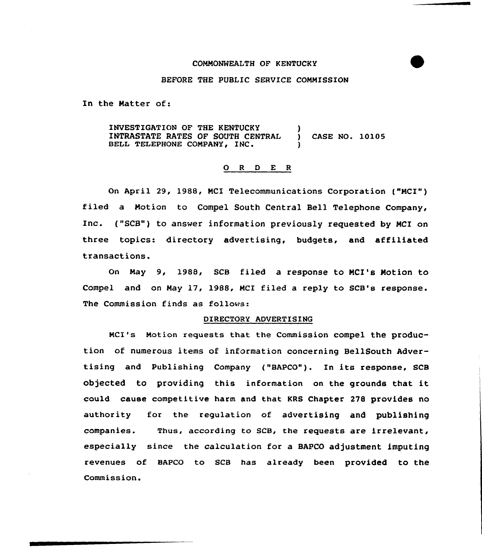# COMMONWEALTH OF KENTUCKY



## BEFORE THE PUBLIC SERVICE COMMISSION

In the Natter of:

INVESTIGATION OF THE KENTUCKY INTRASTATE RATES OF SOUTH CENTRAL BELL TELEPHONE COMPANY, INC. ) } CASE NO. 10105

### O R D E R

On April 29, 1988, MCI Telecommunications Corporation ("MCI") filed a Motion to Compel South Central Bell Telephone Company, Inc. ("SCB") to answer information previously requested by MCI on three topics: directory advertising, budgets, and affiliated transactions.

On May 9, 1988, SCB filed a response to NCI's Motion to Compel and on May 17, 1988, MCI filed a reply to SCB's response. The Commission finds as follows:

# DIRECTORY ADVERTISING

Mcl's Motion requests that the commission compel the production of numerous items of information concerning BellSouth Advertising and Publishing Company ("BAPCO"). In its response, SCB objected to providing this information on the grounds that it could cause competitive harm and that KRS Chapter 278 provides no authority for the regulation of advertising and publishing companies. Thus, according to SCB, the requests are irrelevant, especially since the calculation for a BAPCO adjustment imputing revenues of BAPCO to SCB has already been provided to the Commission.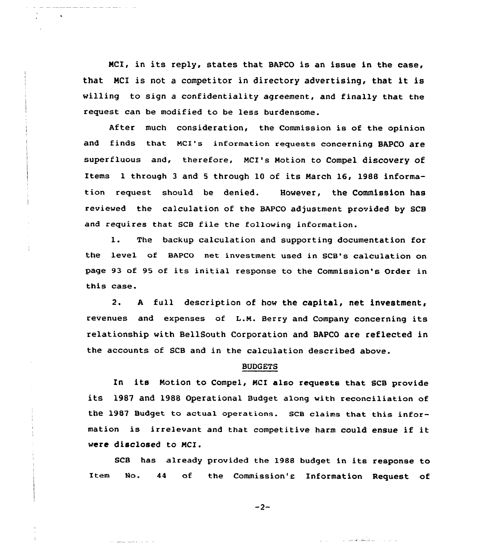NCI, in its reply, states that BAPCO is an issue in the case, that NCI is not <sup>a</sup> competitor in directory advertising, that it is willing to sign a confidentiality agreement, and finally that the request can be modified to be less burdensome.

After much consideration, the Commission is of the opinion and finds that Mcl's information requests concerning BAPCO are superfluous and, therefore, McI's Motion to Compel discovery of Items <sup>1</sup> through <sup>3</sup> and <sup>5</sup> through 10 of its March 16, 1988 information request should be denied. However, the Commission has reviewed the calculation of the BAPCO adjustment provided by SCB and requires that SCB file the following information.

1. The backup calculation and supporting documentation for the 1evel of BAPCO net investment used in SCB's calculation on page 93 of 95 of its initial response to the Commission's Order in this case.

2. <sup>A</sup> full description of how the capital, net investment, revenues and expenses of L.M. Berry and Company concerning its relationship with BellSouth Corporation and BAPCO are reflected in the accounts of SCB and in the calculation described above.

#### BUDGETS

In its Notion to Compel, NCI also requests that SCB provide its 1987 and 1988 operational Budget along with reconciliation of the 1987 Budget to actual operations. Scs claims that this information is irrelevant and that competitive harm could ensue if it were disclosed to MCI.

SCB has already provided the 1988 budget in its response to Item No. <sup>44</sup> of the Commission's Information Request of

 $-2-$ 

and and and some state of the

والدادات ومقلكهاهاها والممالية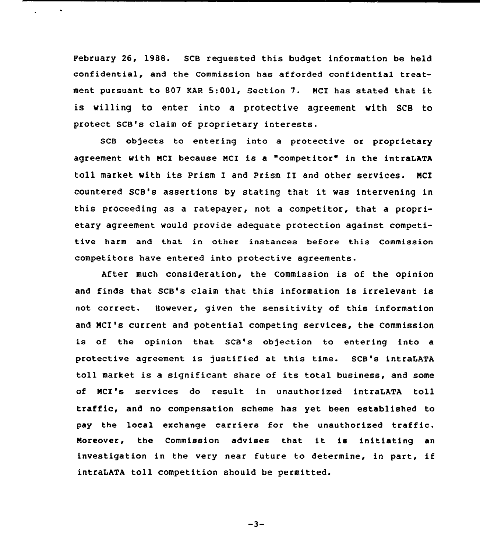February 26, 1988. SCB requested this budget information be held confidential, and the Commission has afforded confidential treatment pursuant to <sup>807</sup> EAR 5:001, Section 7. NCI has stated that it is willing to enter into a protective agreement with SCB to protect SCB's claim of proprietary interests.

 $\mathcal{L}^{(1)}$  and  $\mathcal{L}^{(2)}$ 

SCB objects to entering into a protective or proprietary agreement with NCI because MCX is a "competitor" in the intraLATA toll market with its Prism I and Prism II and other services. NCI countered SCB's assertions by stating that it was intervening in this proceeding as a ratepayer, not a competitor, that a proprietary agreement would provide adequate protection against competitive harm and that in other instances before this Commission competitors have entered into protective agreements.

After much consideration, the Commission is of the opinion and finds that SCB's claim that this information is irrelevant is not correct. However, given the sensitivity of this information and NCI's current and potential competing services, the Commission is of the opinion that SCB's objection to entering into a protective agreement is justified at this time. SCB's intraLATA toll market is <sup>a</sup> significant share of its total business, and some of NCI's services do result in unauthorized intraLATA toll traffic, and no compensation scheme has yet been established to pay the local exchange carriers for the unauthorized traffic. Noreover, the Commission advises that it ie initiating an investigation in the very near future to determine, in part, if intraLATA toll competition should be permitted.

 $-3-$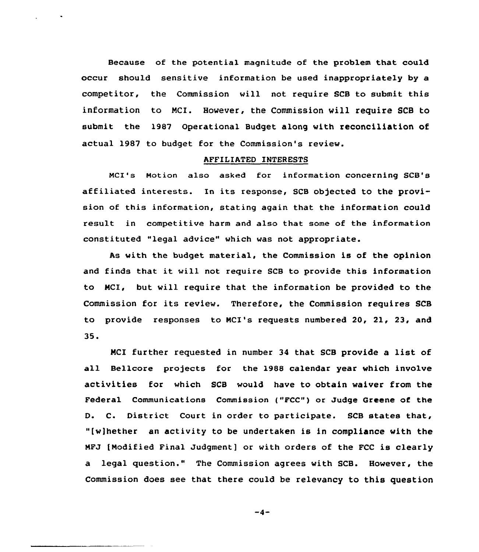Because of the potential magnitude of the problem that could occur should sensitive information be used inappropriately by a competitor, the Commission will not require SCB to submit this information to NCI. However, the Commission will require SCB to submit the 1987 Operational Budget along with reconciliation of actual 1987 to budget for the Commission's review.

### AFFILIATED INTERESTS

NCI's Motion also asked for information concerning SCB's affiliated interests. In its response, SCB objected to the provision of this information, stating again that the information could result in competitive harm and also that some of the information constituted "legal advice" which was not appropriate.

As with the budget material, the Commission is of the opinion and finds that it vill not require SCB to provide this information to NCI, but will require that the information be provided to the Commission for its review. Therefore, the Commission requires SCB to provide responses to MCI's requests numbered 20, 21, 23, and 35.

MCI further requested in number <sup>34</sup> that SCB provide <sup>a</sup> list of all Bellcore projects for the 1988 calendar year which involve activities for which SCB would have to obtain waiver from the Federal Communications Commission ("FCC") or Judge Greene of the D. C. District Court in order to participate. SCB states that, "[w)hether an activity to be undertaken is in compliance with the MFJ [Modified Final Judgment] or with orders of the FCC is clearly a legal question." The Commission agrees with SCB. However, the Commission does see that there could be relevancy to this question

 $-4-$